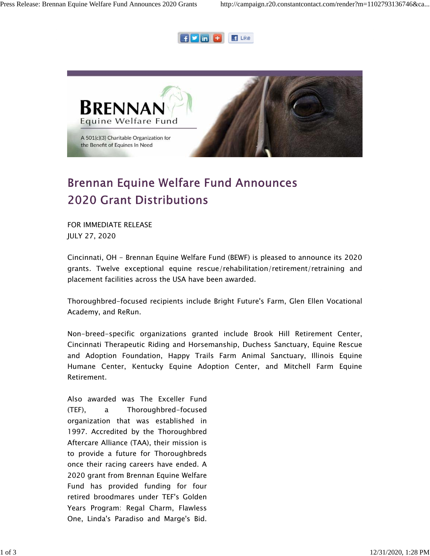



## **Brennan Equine Welfare Fund Announces 2020 Grant Distributions**

FOR IMMEDIATE RELEASE JULY 27, 2020

Cincinnati, OH - Brennan Equine Welfare Fund (BEWF) is pleased to announce its 2020 grants. Twelve exceptional equine rescue/rehabilitation/retirement/retraining and placement facilities across the USA have been awarded.

Thoroughbred-focused recipients include Bright Future's Farm, Glen Ellen Vocational Academy, and ReRun.

Non-breed-specific organizations granted include Brook Hill Retirement Center, Cincinnati Therapeutic Riding and Horsemanship, Duchess Sanctuary, Equine Rescue and Adoption Foundation, Happy Trails Farm Animal Sanctuary, Illinois Equine Humane Center, Kentucky Equine Adoption Center, and Mitchell Farm Equine Retirement.

Also awarded was The Exceller Fund (TEF), a Thoroughbred-focused organization that was established in 1997. Accredited by the Thoroughbred Aftercare Alliance (TAA), their mission is to provide a future for Thoroughbreds once their racing careers have ended. A 2020 grant from Brennan Equine Welfare Fund has provided funding for four retired broodmares under TEF's Golden Years Program: Regal Charm, Flawless One, Linda's Paradiso and Marge's Bid.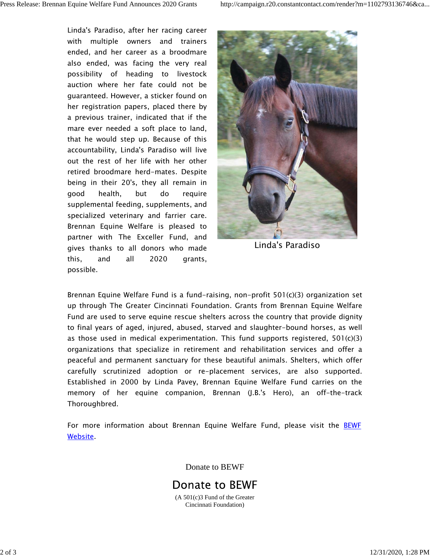Linda's Paradiso, after her racing career with multiple owners and trainers ended, and her career as a broodmare also ended, was facing the very real possibility of heading to livestock auction where her fate could not be guaranteed. However, a sticker found on her registration papers, placed there by a previous trainer, indicated that if the mare ever needed a soft place to land, that he would step up. Because of this accountability, Linda's Paradiso will live out the rest of her life with her other retired broodmare herd-mates. Despite being in their 20's, they all remain in good health, but do require supplemental feeding, supplements, and specialized veterinary and farrier care. Brennan Equine Welfare is pleased to partner with The Exceller Fund, and gives thanks to all donors who made this, and all 2020 grants, possible.



Linda's Paradiso

Brennan Equine Welfare Fund is a fund-raising, non-profit 501(c)(3) organization set up through The Greater Cincinnati Foundation. Grants from Brennan Equine Welfare Fund are used to serve equine rescue shelters across the country that provide dignity to final years of aged, injured, abused, starved and slaughter-bound horses, as well as those used in medical experimentation. This fund supports registered,  $501(c)(3)$ organizations that specialize in retirement and rehabilitation services and offer a peaceful and permanent sanctuary for these beautiful animals. Shelters, which offer carefully scrutinized adoption or re-placement services, are also supported. Established in 2000 by Linda Pavey, Brennan Equine Welfare Fund carries on the memory of her equine companion, Brennan (J.B.'s Hero), an off-the-track Thoroughbred.

For more information about Brennan Equine Welfare Fund, please visit the BEWF Website.

Donate to BEWF



(A 501(c)3 Fund of the Greater Cincinnati Foundation)